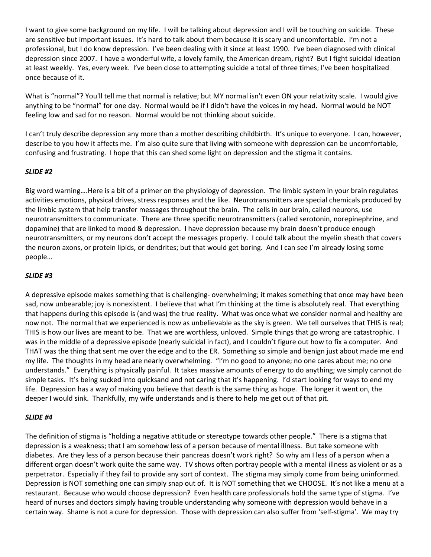I want to give some background on my life. I will be talking about depression and I will be touching on suicide. These are sensitive but important issues. It's hard to talk about them because it is scary and uncomfortable. I'm not a professional, but I do know depression. I've been dealing with it since at least 1990. I've been diagnosed with clinical depression since 2007. I have a wonderful wife, a lovely family, the American dream, right? But I fight suicidal ideation at least weekly. Yes, every week. I've been close to attempting suicide a total of three times; I've been hospitalized once because of it.

What is "normal"? You'll tell me that normal is relative; but MY normal isn't even ON your relativity scale. I would give anything to be "normal" for one day. Normal would be if I didn't have the voices in my head. Normal would be NOT feeling low and sad for no reason. Normal would be not thinking about suicide.

I can't truly describe depression any more than a mother describing childbirth. It's unique to everyone. I can, however, describe to you how it affects me. I'm also quite sure that living with someone with depression can be uncomfortable, confusing and frustrating. I hope that this can shed some light on depression and the stigma it contains.

### *SLIDE #2*

Big word warning….Here is a bit of a primer on the physiology of depression. The limbic system in your brain regulates activities emotions, physical drives, stress responses and the like. Neurotransmitters are special chemicals produced by the limbic system that help transfer messages throughout the brain. The cells in our brain, called neurons, use neurotransmitters to communicate. There are three specific neurotransmitters (called serotonin, norepinephrine, and dopamine) that are linked to mood & depression. I have depression because my brain doesn't produce enough neurotransmitters, or my neurons don't accept the messages properly. I could talk about the myelin sheath that covers the neuron axons, or protein lipids, or dendrites; but that would get boring. And I can see I'm already losing some people…

#### *SLIDE #3*

A depressive episode makes something that is challenging- overwhelming; it makes something that once may have been sad, now unbearable; joy is nonexistent. I believe that what I'm thinking at the time is absolutely real. That everything that happens during this episode is (and was) the true reality. What was once what we consider normal and healthy are now not. The normal that we experienced is now as unbelievable as the sky is green. We tell ourselves that THIS is real; THIS is how our lives are meant to be. That we are worthless, unloved. Simple things that go wrong are catastrophic. I was in the middle of a depressive episode (nearly suicidal in fact), and I couldn't figure out how to fix a computer. And THAT was the thing that sent me over the edge and to the ER. Something so simple and benign just about made me end my life. The thoughts in my head are nearly overwhelming. "I'm no good to anyone; no one cares about me; no one understands." Everything is physically painful. It takes massive amounts of energy to do anything; we simply cannot do simple tasks. It's being sucked into quicksand and not caring that it's happening. I'd start looking for ways to end my life. Depression has a way of making you believe that death is the same thing as hope. The longer it went on, the deeper I would sink. Thankfully, my wife understands and is there to help me get out of that pit.

#### *SLIDE #4*

The definition of stigma is "holding a negative attitude or stereotype towards other people." There is a stigma that depression is a weakness; that I am somehow less of a person because of mental illness. But take someone with diabetes. Are they less of a person because their pancreas doesn't work right? So why am I less of a person when a different organ doesn't work quite the same way. TV shows often portray people with a mental illness as violent or as a perpetrator. Especially if they fail to provide any sort of context. The stigma may simply come from being uninformed. Depression is NOT something one can simply snap out of. It is NOT something that we CHOOSE. It's not like a menu at a restaurant. Because who would choose depression? Even health care professionals hold the same type of stigma. I've heard of nurses and doctors simply having trouble understanding why someone with depression would behave in a certain way. Shame is not a cure for depression. Those with depression can also suffer from 'self-stigma'. We may try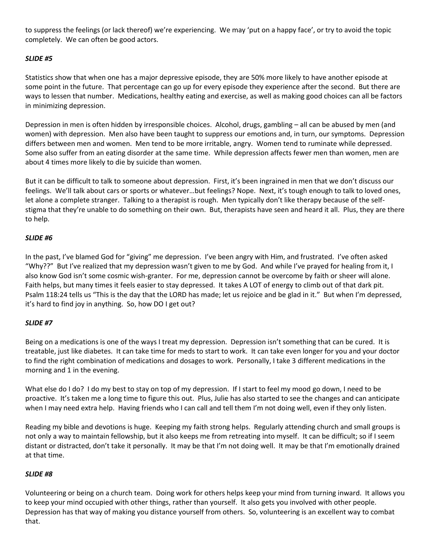to suppress the feelings (or lack thereof) we're experiencing. We may 'put on a happy face', or try to avoid the topic completely. We can often be good actors.

# *SLIDE #5*

Statistics show that when one has a major depressive episode, they are 50% more likely to have another episode at some point in the future. That percentage can go up for every episode they experience after the second. But there are ways to lessen that number. Medications, healthy eating and exercise, as well as making good choices can all be factors in minimizing depression.

Depression in men is often hidden by irresponsible choices. Alcohol, drugs, gambling – all can be abused by men (and women) with depression. Men also have been taught to suppress our emotions and, in turn, our symptoms. Depression differs between men and women. Men tend to be more irritable, angry. Women tend to ruminate while depressed. Some also suffer from an eating disorder at the same time. While depression affects fewer men than women, men are about 4 times more likely to die by suicide than women.

But it can be difficult to talk to someone about depression. First, it's been ingrained in men that we don't discuss our feelings. We'll talk about cars or sports or whatever…but feelings? Nope. Next, it's tough enough to talk to loved ones, let alone a complete stranger. Talking to a therapist is rough. Men typically don't like therapy because of the selfstigma that they're unable to do something on their own. But, therapists have seen and heard it all. Plus, they are there to help.

# *SLIDE #6*

In the past, I've blamed God for "giving" me depression. I've been angry with Him, and frustrated. I've often asked "Why??" But I've realized that my depression wasn't given to me by God. And while I've prayed for healing from it, I also know God isn't some cosmic wish-granter. For me, depression cannot be overcome by faith or sheer will alone. Faith helps, but many times it feels easier to stay depressed. It takes A LOT of energy to climb out of that dark pit. Psalm 118:24 tells us "This is the day that the LORD has made; let us rejoice and be glad in it." But when I'm depressed, it's hard to find joy in anything. So, how DO I get out?

# *SLIDE #7*

Being on a medications is one of the ways I treat my depression. Depression isn't something that can be cured. It is treatable, just like diabetes. It can take time for meds to start to work. It can take even longer for you and your doctor to find the right combination of medications and dosages to work. Personally, I take 3 different medications in the morning and 1 in the evening.

What else do I do? I do my best to stay on top of my depression. If I start to feel my mood go down, I need to be proactive. It's taken me a long time to figure this out. Plus, Julie has also started to see the changes and can anticipate when I may need extra help. Having friends who I can call and tell them I'm not doing well, even if they only listen.

Reading my bible and devotions is huge. Keeping my faith strong helps. Regularly attending church and small groups is not only a way to maintain fellowship, but it also keeps me from retreating into myself. It can be difficult; so if I seem distant or distracted, don't take it personally. It may be that I'm not doing well. It may be that I'm emotionally drained at that time.

# *SLIDE #8*

Volunteering or being on a church team. Doing work for others helps keep your mind from turning inward. It allows you to keep your mind occupied with other things, rather than yourself. It also gets you involved with other people. Depression has that way of making you distance yourself from others. So, volunteering is an excellent way to combat that.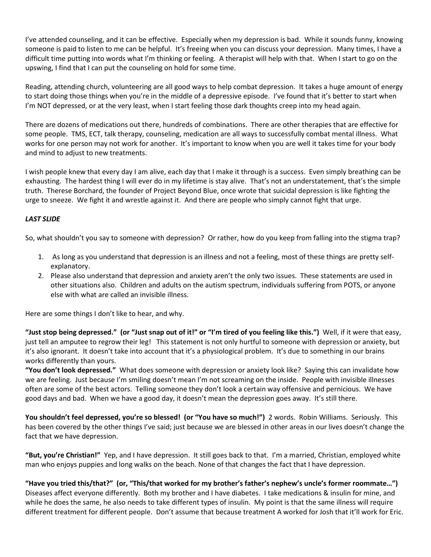I've attended counseling, and it can be effective. Especially when my depression is bad. While it sounds funny, knowing someone is paid to listen to me can be helpful. It's freeing when you can discuss your depression. Many times, I have a difficult time putting into words what I'm thinking or feeling. A therapist will help with that. When I start to go on the upswing, I find that I can put the counseling on hold for some time.

Reading, attending church, volunteering are all good ways to help combat depression. It takes a huge amount of energy to start doing those things when you're in the middle of a depressive episode. I've found that it's better to start when I'm NOT depressed, or at the very least, when I start feeling those dark thoughts creep into my head again.

There are dozens of medications out there, hundreds of combinations. There are other therapies that are effective for some people. TMS, ECT, talk therapy, counseling, medication are all ways to successfully combat mental illness. What works for one person may not work for another. It's important to know when you are well it takes time for your body and mind to adjust to new treatments.

I wish people knew that every day I am alive, each day that I make it through is a success. Even simply breathing can be exhausting. The hardest thing I will ever do in my lifetime is stay alive. That's not an understatement, that's the simple truth. Therese Borchard, the founder of Project Beyond Blue, once wrote that suicidal depression is like fighting the urge to sneeze. We fight it and wrestle against it. And there are people who simply cannot fight that urge.

### *LAST SLIDE*

So, what shouldn't you say to someone with depression? Or rather, how do you keep from falling into the stigma trap?

- 1. As long as you understand that depression is an illness and not a feeling, most of these things are pretty selfexplanatory.
- 2. Please also understand that depression and anxiety aren't the only two issues. These statements are used in other situations also. Children and adults on the autism spectrum, individuals suffering from POTS, or anyone else with what are called an invisible illness.

Here are some things I don't like to hear, and why.

**"Just stop being depressed." (or "Just snap out of it!" or "I'm tired of you feeling like this.")** Well, if it were that easy, just tell an amputee to regrow their leg! This statement is not only hurtful to someone with depression or anxiety, but it's also ignorant. It doesn't take into account that it's a physiological problem. It's due to something in our brains works differently than yours.

**"You don't look depressed."** What does someone with depression or anxiety look like? Saying this can invalidate how we are feeling. Just because I'm smiling doesn't mean I'm not screaming on the inside. People with invisible illnesses often are some of the best actors. Telling someone they don't look a certain way offensive and pernicious. We have good days and bad. When we have a good day, it doesn't mean the depression goes away. It's still there.

**You shouldn't feel depressed, you're so blessed! (or "You have so much!")** 2 words. Robin Williams. Seriously. This has been covered by the other things I've said; just because we are blessed in other areas in our lives doesn't change the fact that we have depression.

**"But, you're Christian!"** Yep, and I have depression. It still goes back to that. I'm a married, Christian, employed white man who enjoys puppies and long walks on the beach. None of that changes the fact that I have depression.

**"Have you tried this/that?" (or, "This/that worked for my brother's father's nephew's uncle's former roommate…")** Diseases affect everyone differently. Both my brother and I have diabetes. I take medications & insulin for mine, and while he does the same, he also needs to take different types of insulin. My point is that the same illness will require different treatment for different people. Don't assume that because treatment A worked for Josh that it'll work for Eric.